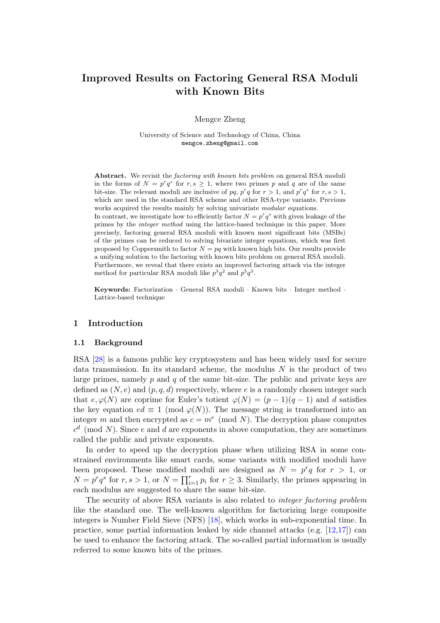# Improved Results on Factoring General RSA Moduli with Known Bits

Mengce Zheng

University of Science and Technology of China, China mengce.zheng@gmail.com

Abstract. We revisit the *factoring with known bits problem* on general RSA moduli in the forms of  $N = p^r q^s$  for  $r, s \geq 1$ , where two primes p and q are of the same bit-size. The relevant moduli are inclusive of pq,  $p^r q$  for  $r > 1$ , and  $p^r q^s$  for  $r, s > 1$ , which are used in the standard RSA scheme and other RSA-type variants. Previous works acquired the results mainly by solving univariate modular equations.

In contrast, we investigate how to efficiently factor  $N = p^r q^s$  with given leakage of the primes by the integer method using the lattice-based technique in this paper. More precisely, factoring general RSA moduli with known most significant bits (MSBs) of the primes can be reduced to solving bivariate integer equations, which was first proposed by Coppersmith to factor  $N = pq$  with known high bits. Our results provide a unifying solution to the factoring with known bits problem on general RSA moduli. Furthermore, we reveal that there exists an improved factoring attack via the integer method for particular RSA moduli like  $p^3q^2$  and  $p^5q^3$ .

Keywords: Factorization · General RSA moduli · Known bits · Integer method · Lattice-based technique

#### 1 Introduction

#### 1.1 Background

RSA [\[28\]](#page-17-0) is a famous public key cryptosystem and has been widely used for secure data transmission. In its standard scheme, the modulus  $N$  is the product of two large primes, namely  $p$  and  $q$  of the same bit-size. The public and private keys are defined as  $(N, e)$  and  $(p, q, d)$  respectively, where e is a randomly chosen integer such that  $e, \varphi(N)$  are coprime for Euler's totient  $\varphi(N) = (p-1)(q-1)$  and d satisfies the key equation  $ed \equiv 1 \pmod{\varphi(N)}$ . The message string is transformed into an integer m and then encrypted as  $c = m^e \pmod{N}$ . The decryption phase computes  $c<sup>d</sup>$  (mod N). Since e and d are exponents in above computation, they are sometimes called the public and private exponents.

In order to speed up the decryption phase when utilizing RSA in some constrained environments like smart cards, some variants with modified moduli have been proposed. These modified moduli are designed as  $N = p^r q$  for  $r > 1$ , or  $N = p^r q^s$  for  $r, s > 1$ , or  $N = \prod_{i=1}^r p_i$  for  $r \geq 3$ . Similarly, the primes appearing in each modulus are suggested to share the same bit-size.

The security of above RSA variants is also related to integer factoring problem like the standard one. The well-known algorithm for factorizing large composite integers is Number Field Sieve (NFS) [\[18\]](#page-17-1), which works in sub-exponential time. In practice, some partial information leaked by side channel attacks (e.g. [\[12,](#page-17-2)[17\]](#page-17-3)) can be used to enhance the factoring attack. The so-called partial information is usually referred to some known bits of the primes.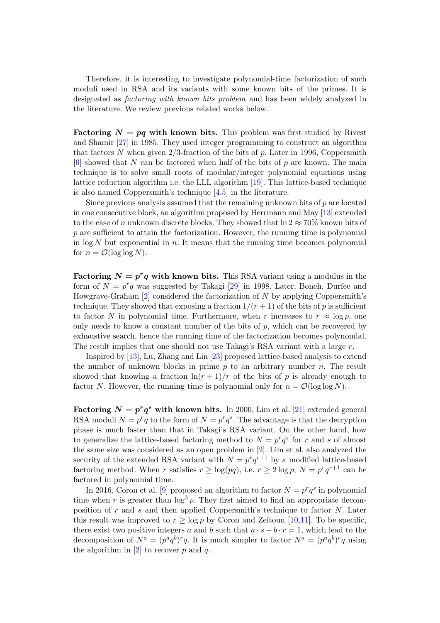Therefore, it is interesting to investigate polynomial-time factorization of such moduli used in RSA and its variants with some known bits of the primes. It is designated as factoring with known bits problem and has been widely analyzed in the literature. We review previous related works below.

**Factoring**  $N = pq$  **with known bits.** This problem was first studied by Rivest and Shamir [\[27\]](#page-17-4) in 1985. They used integer programming to construct an algorithm that factors N when given  $2/3$ -fraction of the bits of p. Later in 1996, Coppersmith  $[6]$  showed that N can be factored when half of the bits of p are known. The main technique is to solve small roots of modular/integer polynomial equations using lattice reduction algorithm i.e. the LLL algorithm [\[19\]](#page-17-5). This lattice-based technique is also named Coppersmith's technique [\[4](#page-16-1)[,5\]](#page-16-2) in the literature.

Since previous analysis assumed that the remaining unknown bits of  $p$  are located in one consecutive block, an algorithm proposed by Herrmann and May [\[13\]](#page-17-6) extended to the case of n unknown discrete blocks. They showed that  $\ln 2 \approx 70\%$  known bits of  $p$  are sufficient to attain the factorization. However, the running time is polynomial in  $\log N$  but exponential in n. It means that the running time becomes polynomial for  $n = \mathcal{O}(\log \log N)$ .

Factoring  $N = p^r q$  with known bits. This RSA variant using a modulus in the form of  $N = p^r q$  was suggested by Takagi [\[29\]](#page-17-7) in 1998. Later, Boneh, Durfee and Howgrave-Graham  $[2]$  considered the factorization of N by applying Coppersmith's technique. They showed that exposing a fraction  $1/(r+1)$  of the bits of p is sufficient to factor N in polynomial time. Furthermore, when r increases to  $r \approx \log p$ , one only needs to know a constant number of the bits of  $p$ , which can be recovered by exhaustive search, hence the running time of the factorization becomes polynomial. The result implies that one should not use Takagi's RSA variant with a large  $r$ .

Inspired by [\[13\]](#page-17-6), Lu, Zhang and Lin [\[23\]](#page-17-8) proposed lattice-based analysis to extend the number of unknown blocks in prime  $p$  to an arbitrary number  $n$ . The result showed that knowing a fraction  $\ln(r + 1)/r$  of the bits of p is already enough to factor N. However, the running time is polynomial only for  $n = \mathcal{O}(\log \log N)$ .

Factoring  $N = p^r q^s$  with known bits. In 2000, Lim et al. [\[21\]](#page-17-9) extended general RSA moduli  $N = p^r q$  to the form of  $N = p^r q^s$ . The advantage is that the decryption phase is much faster than that in Takagi's RSA variant. On the other hand, how to generalize the lattice-based factoring method to  $N = p^r q^s$  for r and s of almost the same size was considered as an open problem in [\[2\]](#page-16-3). Lim et al. also analyzed the security of the extended RSA variant with  $N = p^r q^{r+1}$  by a modified lattice-based factoring method. When r satisfies  $r \ge \log(pq)$ , i.e.  $r \ge 2 \log p$ ,  $N = p^r q^{r+1}$  can be factored in polynomial time.

In 2016, Coron et al. [\[9\]](#page-17-10) proposed an algorithm to factor  $N = p^r q^s$  in polynomial time when r is greater than  $\log^3 p$ . They first aimed to find an appropriate decomposition of  $r$  and  $s$  and then applied Coppersmith's technique to factor  $N$ . Later this result was improved to  $r \geq \log p$  by Coron and Zeitoun [\[10,](#page-17-11)[11\]](#page-17-12). To be specific, there exist two positive integers a and b such that  $a \cdot s - b \cdot r = 1$ , which lead to the decomposition of  $N^a = (p^a q^b)^r q$ . It is much simpler to factor  $N^a = (p^a q^b)^r q$  using the algorithm in  $[2]$  to recover p and q.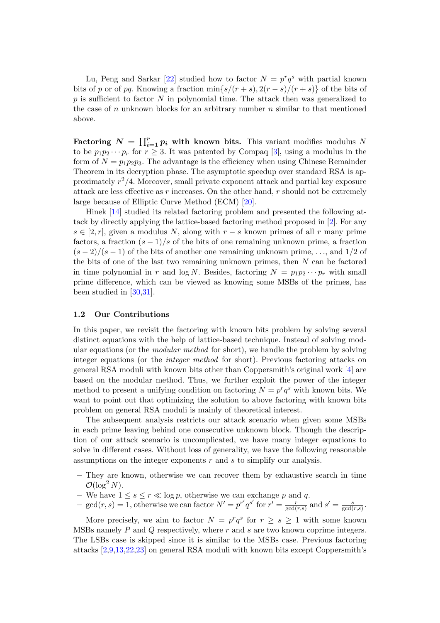Lu, Peng and Sarkar [\[22\]](#page-17-13) studied how to factor  $N = p^r q^s$  with partial known bits of p or of pq. Knowing a fraction min $\{s/(r+s), 2(r-s)/(r+s)\}\)$  of the bits of  $p$  is sufficient to factor  $N$  in polynomial time. The attack then was generalized to the case of  $n$  unknown blocks for an arbitrary number  $n$  similar to that mentioned above.

Factoring  $N = \prod_{i=1}^{r} p_i$  with known bits. This variant modifies modulus N to be  $p_1p_2\cdots p_r$  for  $r\geq 3$ . It was patented by Compaq [\[3\]](#page-16-4), using a modulus in the form of  $N = p_1p_2p_3$ . The advantage is the efficiency when using Chinese Remainder Theorem in its decryption phase. The asymptotic speedup over standard RSA is approximately  $r^2/4$ . Moreover, small private exponent attack and partial key exposure attack are less effective as  $r$  increases. On the other hand,  $r$  should not be extremely large because of Elliptic Curve Method (ECM) [\[20\]](#page-17-14).

Hinek [\[14\]](#page-17-15) studied its related factoring problem and presented the following attack by directly applying the lattice-based factoring method proposed in [\[2\]](#page-16-3). For any  $s \in [2, r]$ , given a modulus N, along with  $r - s$  known primes of all r many prime factors, a fraction  $(s-1)/s$  of the bits of one remaining unknown prime, a fraction  $(s-2)/(s-1)$  of the bits of another one remaining unknown prime, ..., and 1/2 of the bits of one of the last two remaining unknown primes, then  $N$  can be factored in time polynomial in r and  $\log N$ . Besides, factoring  $N = p_1p_2\cdots p_r$  with small prime difference, which can be viewed as knowing some MSBs of the primes, has been studied in [\[30,](#page-18-0)[31\]](#page-18-1).

#### 1.2 Our Contributions

In this paper, we revisit the factoring with known bits problem by solving several distinct equations with the help of lattice-based technique. Instead of solving modular equations (or the *modular method* for short), we handle the problem by solving integer equations (or the integer method for short). Previous factoring attacks on general RSA moduli with known bits other than Coppersmith's original work [\[4\]](#page-16-1) are based on the modular method. Thus, we further exploit the power of the integer method to present a unifying condition on factoring  $N = p^r q^s$  with known bits. We want to point out that optimizing the solution to above factoring with known bits problem on general RSA moduli is mainly of theoretical interest.

The subsequent analysis restricts our attack scenario when given some MSBs in each prime leaving behind one consecutive unknown block. Though the description of our attack scenario is uncomplicated, we have many integer equations to solve in different cases. Without loss of generality, we have the following reasonable assumptions on the integer exponents r and s to simplify our analysis.

- They are known, otherwise we can recover them by exhaustive search in time  $\mathcal{O}(\log^2 N)$ .
- We have  $1 \leq s \leq r \ll \log p$ , otherwise we can exchange p and q.
- gcd(r, s) = 1, otherwise we can factor  $N' = p^{r'}q^{s'}$  for  $r' = \frac{r}{\text{gcd}}$  $\frac{r}{\gcd(r,s)}$  and  $s' = \frac{s}{\gcd(r)}$  $rac{s}{\gcd(r,s)}$ .

More precisely, we aim to factor  $N = p^r q^s$  for  $r \geq s \geq 1$  with some known MSBs namely  $P$  and  $Q$  respectively, where  $r$  and  $s$  are two known coprime integers. The LSBs case is skipped since it is similar to the MSBs case. Previous factoring attacks [\[2,](#page-16-3)[9](#page-17-10)[,13](#page-17-6)[,22](#page-17-13)[,23\]](#page-17-8) on general RSA moduli with known bits except Coppersmith's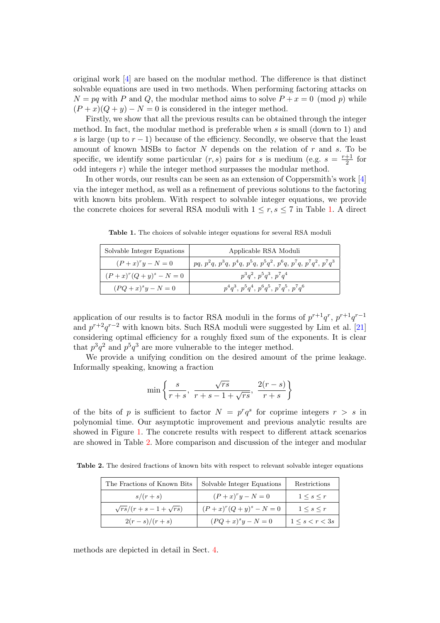original work [\[4\]](#page-16-1) are based on the modular method. The difference is that distinct solvable equations are used in two methods. When performing factoring attacks on  $N = pq$  with P and Q, the modular method aims to solve  $P + x = 0 \pmod{p}$  while  $(P+x)(Q+y) - N = 0$  is considered in the integer method.

Firstly, we show that all the previous results can be obtained through the integer method. In fact, the modular method is preferable when  $s$  is small (down to 1) and s is large (up to  $r - 1$ ) because of the efficiency. Secondly, we observe that the least amount of known MSBs to factor  $N$  depends on the relation of  $r$  and  $s$ . To be specific, we identify some particular  $(r, s)$  pairs for s is medium (e.g.  $s = \frac{r+1}{2}$ )  $rac{+1}{2}$  for odd integers  $r$ ) while the integer method surpasses the modular method.

In other words, our results can be seen as an extension of Coppersmith's work [\[4\]](#page-16-1) via the integer method, as well as a refinement of previous solutions to the factoring with known bits problem. With respect to solvable integer equations, we provide the concrete choices for several RSA moduli with  $1 \leq r, s \leq 7$  in Table [1.](#page-3-0) A direct

| Solvable Integer Equations | Applicable RSA Moduli                                            |
|----------------------------|------------------------------------------------------------------|
| $(P+x)^{r}y-N=0$           | $pq, p^2q, p^3q, p^4q, p^5q, p^5q^2, p^6q, p^7q, p^7q^2, p^7q^3$ |
| $(P+x)^r(Q+y)^s - N = 0$   | $p^3q^2$ , $p^5q^3$ , $p^7q^4$                                   |
| $(PQ+x)^{s}y-N=0$          | $p^4q^3$ , $p^5q^4$ , $p^6q^5$ , $p^7q^5$ , $p^7q^6$             |

<span id="page-3-0"></span>Table 1. The choices of solvable integer equations for several RSA moduli

application of our results is to factor RSA moduli in the forms of  $p^{r+1}q^r$ ,  $p^{r+1}q^{r-1}$ and  $p^{r+2}q^{r-2}$  with known bits. Such RSA moduli were suggested by Lim et al. [\[21\]](#page-17-9) considering optimal efficiency for a roughly fixed sum of the exponents. It is clear that  $p^3q^2$  and  $p^5q^3$  are more vulnerable to the integer method.

We provide a unifying condition on the desired amount of the prime leakage. Informally speaking, knowing a fraction

$$
\min\left\{\frac{s}{r+s},\ \frac{\sqrt{rs}}{r+s-1+\sqrt{rs}},\ \frac{2(r-s)}{r+s}\right\}
$$

of the bits of p is sufficient to factor  $N = p^r q^s$  for coprime integers  $r > s$  in polynomial time. Our asymptotic improvement and previous analytic results are showed in Figure [1.](#page-4-0) The concrete results with respect to different attack scenarios are showed in Table [2.](#page-3-1) More comparison and discussion of the integer and modular

Table 2. The desired fractions of known bits with respect to relevant solvable integer equations

<span id="page-3-1"></span>

| The Fractions of Known Bits   | Solvable Integer Equations | Restrictions              |
|-------------------------------|----------------------------|---------------------------|
| $s/(r+s)$                     | $(P+x)^{r}y-N=0$           | $1 \leq s \leq r$         |
| $\sqrt{rs}/(r+s-1+\sqrt{rs})$ | $(P+x)^r(Q+y)^s - N = 0$   | $1 \leq s \leq r$         |
| $2(r-s)/(r+s)$                | $(PQ + x)^{s}y - N = 0$    | $1 \leq s \leq r \leq 3s$ |

methods are depicted in detail in Sect. [4.](#page-14-0)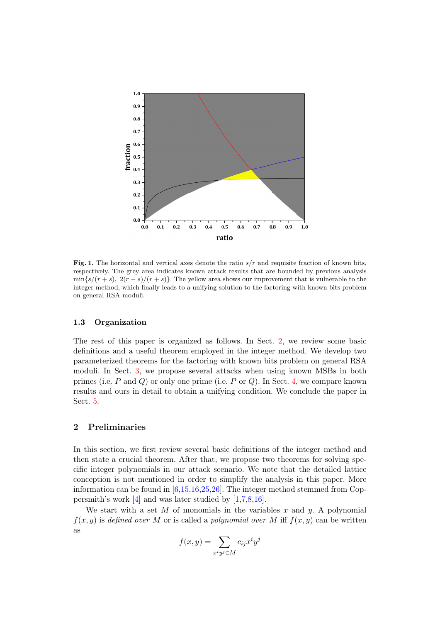

<span id="page-4-0"></span>Fig. 1. The horizontal and vertical axes denote the ratio  $s/r$  and requisite fraction of known bits, respectively. The grey area indicates known attack results that are bounded by previous analysis  $\min\{s/(r+s), 2(r-s)/(r+s)\}\.$  The yellow area shows our improvement that is vulnerable to the integer method, which finally leads to a unifying solution to the factoring with known bits problem on general RSA moduli.

## 1.3 Organization

The rest of this paper is organized as follows. In Sect. [2,](#page-4-1) we review some basic definitions and a useful theorem employed in the integer method. We develop two parameterized theorems for the factoring with known bits problem on general RSA moduli. In Sect. [3,](#page-8-0) we propose several attacks when using known MSBs in both primes (i.e.  $P$  and  $Q$ ) or only one prime (i.e.  $P$  or  $Q$ ). In Sect. [4,](#page-14-0) we compare known results and ours in detail to obtain a unifying condition. We conclude the paper in Sect. [5.](#page-16-5)

# <span id="page-4-1"></span>2 Preliminaries

In this section, we first review several basic definitions of the integer method and then state a crucial theorem. After that, we propose two theorems for solving specific integer polynomials in our attack scenario. We note that the detailed lattice conception is not mentioned in order to simplify the analysis in this paper. More information can be found in  $[6,15,16,25,26]$  $[6,15,16,25,26]$  $[6,15,16,25,26]$  $[6,15,16,25,26]$  $[6,15,16,25,26]$ . The integer method stemmed from Coppersmith's work  $[4]$  and was later studied by  $[1,7,8,16]$  $[1,7,8,16]$  $[1,7,8,16]$  $[1,7,8,16]$ .

We start with a set  $M$  of monomials in the variables  $x$  and  $y$ . A polynomial  $f(x, y)$  is defined over M or is called a polynomial over M iff  $f(x, y)$  can be written as

$$
f(x,y) = \sum_{x^i y^j \in M} c_{ij} x^i y^j
$$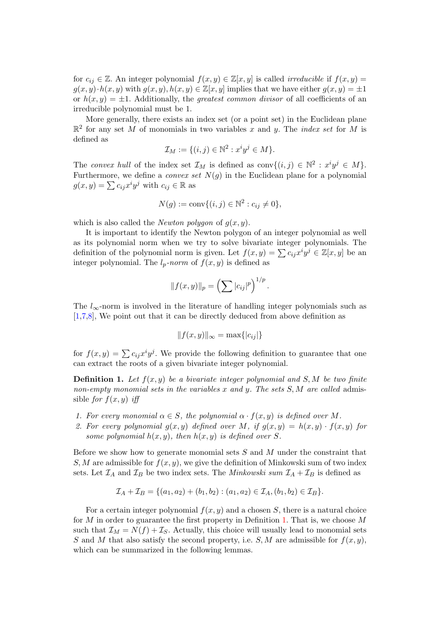for  $c_{ij} \in \mathbb{Z}$ . An integer polynomial  $f(x, y) \in \mathbb{Z}[x, y]$  is called *irreducible* if  $f(x, y) =$  $g(x, y) \cdot h(x, y)$  with  $g(x, y), h(x, y) \in \mathbb{Z}[x, y]$  implies that we have either  $g(x, y) = \pm 1$ or  $h(x, y) = \pm 1$ . Additionally, the *greatest common divisor* of all coefficients of an irreducible polynomial must be 1.

More generally, there exists an index set (or a point set) in the Euclidean plane  $\mathbb{R}^2$  for any set M of monomials in two variables x and y. The *index set* for M is defined as

$$
\mathcal{I}_M := \{ (i,j) \in \mathbb{N}^2 : x^i y^j \in M \}.
$$

The convex hull of the index set  $\mathcal{I}_M$  is defined as  $\text{conv}\{(i,j)\in\mathbb{N}^2 : x^i y^j \in M\}.$ Furthermore, we define a *convex set*  $N(g)$  in the Euclidean plane for a polynomial  $g(x, y) = \sum c_{ij} x^i y^j$  with  $c_{ij} \in \mathbb{R}$  as

$$
N(g) := \text{conv}\{(i, j) \in \mathbb{N}^2 : c_{ij} \neq 0\},\
$$

which is also called the *Newton polygon* of  $g(x, y)$ .

It is important to identify the Newton polygon of an integer polynomial as well as its polynomial norm when we try to solve bivariate integer polynomials. The definition of the polynomial norm is given. Let  $f(x,y) = \sum c_{ij} x^i y^j \in \mathbb{Z}[x,y]$  be an integer polynomial. The  $l_p\text{-}norm$  of  $f(x, y)$  is defined as

$$
|| f(x, y) ||_p = \left( \sum |c_{ij}|^p \right)^{1/p}.
$$

The  $l_{\infty}$ -norm is involved in the literature of handling integer polynomials such as [\[1,](#page-16-6)[7](#page-16-7)[,8\]](#page-16-8), We point out that it can be directly deduced from above definition as

<span id="page-5-0"></span>
$$
||f(x,y)||_{\infty} = \max\{|c_{ij}|\}
$$

for  $f(x,y) = \sum c_{ij} x^i y^j$ . We provide the following definition to guarantee that one can extract the roots of a given bivariate integer polynomial.

**Definition 1.** Let  $f(x, y)$  be a bivariate integer polynomial and S, M be two finite non-empty monomial sets in the variables x and y. The sets  $S, M$  are called admissible for  $f(x, y)$  iff

- 1. For every monomial  $\alpha \in S$ , the polynomial  $\alpha \cdot f(x, y)$  is defined over M.
- 2. For every polynomial  $g(x, y)$  defined over M, if  $g(x, y) = h(x, y) \cdot f(x, y)$  for some polynomial  $h(x, y)$ , then  $h(x, y)$  is defined over S.

Before we show how to generate monomial sets  $S$  and  $M$  under the constraint that S, M are admissible for  $f(x, y)$ , we give the definition of Minkowski sum of two index sets. Let  $\mathcal{I}_A$  and  $\mathcal{I}_B$  be two index sets. The *Minkowski sum*  $\mathcal{I}_A + \mathcal{I}_B$  is defined as

<span id="page-5-1"></span>
$$
\mathcal{I}_A + \mathcal{I}_B = \{ (a_1, a_2) + (b_1, b_2) : (a_1, a_2) \in \mathcal{I}_A, (b_1, b_2) \in \mathcal{I}_B \}.
$$

For a certain integer polynomial  $f(x, y)$  and a chosen S, there is a natural choice for M in order to guarantee the first property in Definition [1.](#page-5-0) That is, we choose  $M$ such that  $\mathcal{I}_M = N(f) + \mathcal{I}_S$ . Actually, this choice will usually lead to monomial sets S and M that also satisfy the second property, i.e. S, M are admissible for  $f(x, y)$ , which can be summarized in the following lemmas.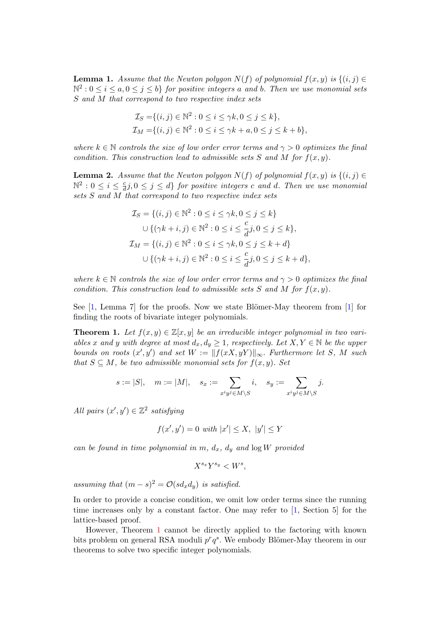**Lemma 1.** Assume that the Newton polygon  $N(f)$  of polynomial  $f(x, y)$  is  $\{(i, j) \in$  $\mathbb{N}^2: 0 \leq i \leq a, 0 \leq j \leq b$  for positive integers a and b. Then we use monomial sets S and M that correspond to two respective index sets

$$
\mathcal{I}_S = \{(i, j) \in \mathbb{N}^2 : 0 \le i \le \gamma k, 0 \le j \le k\},\
$$
  

$$
\mathcal{I}_M = \{(i, j) \in \mathbb{N}^2 : 0 \le i \le \gamma k + a, 0 \le j \le k + b\},\
$$

where  $k \in \mathbb{N}$  controls the size of low order error terms and  $\gamma > 0$  optimizes the final condition. This construction lead to admissible sets S and M for  $f(x, y)$ .

<span id="page-6-1"></span>**Lemma 2.** Assume that the Newton polygon  $N(f)$  of polynomial  $f(x, y)$  is  $\{(i, j) \in$  $\mathbb{N}^2: 0 \leq i \leq \frac{c}{d}$  $\frac{c}{d}j, 0 \leq j \leq d\}$  for positive integers c and d. Then we use monomial sets S and M that correspond to two respective index sets

$$
\mathcal{I}_S = \{ (i, j) \in \mathbb{N}^2 : 0 \le i \le \gamma k, 0 \le j \le k \}
$$
  

$$
\cup \{ (\gamma k + i, j) \in \mathbb{N}^2 : 0 \le i \le \frac{c}{d} j, 0 \le j \le k \},
$$
  

$$
\mathcal{I}_M = \{ (i, j) \in \mathbb{N}^2 : 0 \le i \le \gamma k, 0 \le j \le k + d \}
$$
  

$$
\cup \{ (\gamma k + i, j) \in \mathbb{N}^2 : 0 \le i \le \frac{c}{d} j, 0 \le j \le k + d \},
$$

where  $k \in \mathbb{N}$  controls the size of low order error terms and  $\gamma > 0$  optimizes the final condition. This construction lead to admissible sets S and M for  $f(x, y)$ .

See  $[1, \text{ Lemma 7}]$  $[1, \text{ Lemma 7}]$  for the proofs. Now we state Blömer-May theorem from  $[1]$  for finding the roots of bivariate integer polynomials.

**Theorem 1.** Let  $f(x, y) \in \mathbb{Z}[x, y]$  be an irreducible integer polynomial in two variables x and y with degree at most  $d_x, d_y \geq 1$ , respectively. Let  $X, Y \in \mathbb{N}$  be the upper bounds on roots  $(x', y')$  and set  $W := ||f(xX, yY)||_{\infty}$ . Furthermore let S, M such that  $S \subseteq M$ , be two admissible monomial sets for  $f(x, y)$ . Set

$$
s := |S|, \quad m := |M|, \quad s_x := \sum_{x^i y^j \in M \setminus S} i, \quad s_y := \sum_{x^i y^j \in M \setminus S} j.
$$

All pairs  $(x', y') \in \mathbb{Z}^2$  satisfying

<span id="page-6-0"></span>
$$
f(x', y') = 0 \text{ with } |x'| \le X, |y'| \le Y
$$

can be found in time polynomial in m,  $d_x$ ,  $d_y$  and  $\log W$  provided

<span id="page-6-2"></span>
$$
X^{s_x}Y^{s_y} < W^s
$$

assuming that  $(m - s)^2 = \mathcal{O}(s d_x d_y)$  is satisfied.

In order to provide a concise condition, we omit low order terms since the running time increases only by a constant factor. One may refer to [\[1,](#page-16-6) Section 5] for the lattice-based proof.

However, Theorem [1](#page-6-0) cannot be directly applied to the factoring with known bits problem on general RSA moduli  $p^r q^s$ . We embody Blömer-May theorem in our theorems to solve two specific integer polynomials.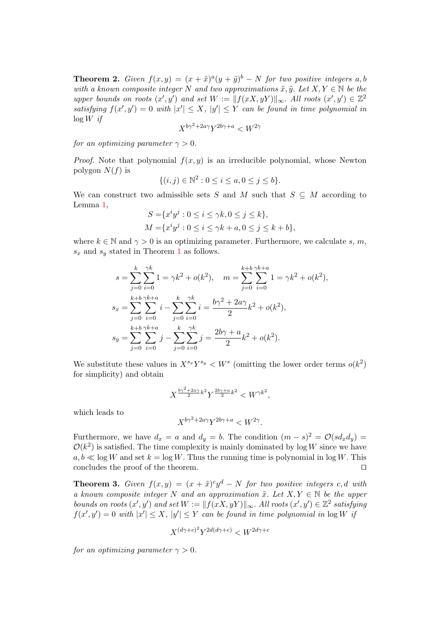**Theorem 2.** Given  $f(x,y) = (x + \tilde{x})^a (y + \tilde{y})^b - N$  for two positive integers a, b with a known composite integer N and two approximations  $\tilde{x}, \tilde{y}$ . Let  $X, Y \in \mathbb{N}$  be the upper bounds on roots  $(x', y')$  and set  $W := ||f(xX, yY)||_{\infty}$ . All roots  $(x', y') \in \mathbb{Z}^2$ satisfying  $f(x', y') = 0$  with  $|x'| \leq X$ ,  $|y'| \leq Y$  can be found in time polynomial in  $\log W$  if

$$
X^{b\gamma^2+2a\gamma}Y^{2b\gamma+a} < W^{2\gamma}
$$

for an optimizing parameter  $\gamma > 0$ .

*Proof.* Note that polynomial  $f(x, y)$  is an irreducible polynomial, whose Newton polygon  $N(f)$  is

$$
\{(i,j) \in \mathbb{N}^2 : 0 \le i \le a, 0 \le j \le b\}.
$$

We can construct two admissible sets S and M such that  $S \subseteq M$  according to Lemma [1,](#page-5-1)

$$
S = \{x^i y^j : 0 \le i \le \gamma k, 0 \le j \le k\},\newline M = \{x^i y^j : 0 \le i \le \gamma k + a, 0 \le j \le k + b\},\newline
$$

where  $k \in \mathbb{N}$  and  $\gamma > 0$  is an optimizing parameter. Furthermore, we calculate s, m,  $s_x$  and  $s_y$  stated in Theorem [1](#page-6-0) as follows.

$$
s = \sum_{j=0}^{k} \sum_{i=0}^{\gamma k} 1 = \gamma k^2 + o(k^2), \quad m = \sum_{j=0}^{k+b} \sum_{i=0}^{\gamma k+a} 1 = \gamma k^2 + o(k^2),
$$
  

$$
s_x = \sum_{j=0}^{k+b} \sum_{i=0}^{\gamma k+a} i - \sum_{j=0}^{k} \sum_{i=0}^{\gamma k} i = \frac{b\gamma^2 + 2a\gamma}{2} k^2 + o(k^2),
$$
  

$$
s_y = \sum_{j=0}^{k+b} \sum_{i=0}^{\gamma k+a} j - \sum_{j=0}^{k} \sum_{i=0}^{\gamma k} j = \frac{2b\gamma + a}{2} k^2 + o(k^2).
$$

We substitute these values in  $X^{s_x}Y^{s_y} < W^s$  (omitting the lower order terms  $o(k^2)$ ) for simplicity) and obtain

$$
X^{\frac{b\gamma^2 + 2a\gamma}{2}k^2} Y^{\frac{2b\gamma + a}{2}k^2} < W^{\gamma k^2},
$$

which leads to

$$
X^{b\gamma^2+2a\gamma}Y^{2b\gamma+a} < W^{2\gamma}.
$$

Furthermore, we have  $d_x = a$  and  $d_y = b$ . The condition  $(m - s)^2 = \mathcal{O}(s d_x d_y)$  $\mathcal{O}(k^2)$  is satisfied. The time complexity is mainly dominated by log W since we have  $a, b \ll \log W$  and set  $k = \log W$ . Thus the running time is polynomial in  $\log W$ . This concludes the proof of the theorem.  $\Box$ 

<span id="page-7-0"></span>**Theorem 3.** Given  $f(x,y) = (x + \tilde{x})^c y^d - N$  for two positive integers c, d with a known composite integer N and an approximation  $\tilde{x}$ . Let  $X, Y \in \mathbb{N}$  be the upper bounds on roots  $(x', y')$  and set  $W := ||f(xX, yY)||_{\infty}$ . All roots  $(x', y') \in \mathbb{Z}^2$  satisfying  $f(x', y') = 0$  with  $|x'| \leq X$ ,  $|y'| \leq Y$  can be found in time polynomial in  $\log W$  is

$$
X^{(d\gamma+c)^2}Y^{2d(d\gamma+c)} < W^{2d\gamma+c}
$$

for an optimizing parameter  $\gamma > 0$ .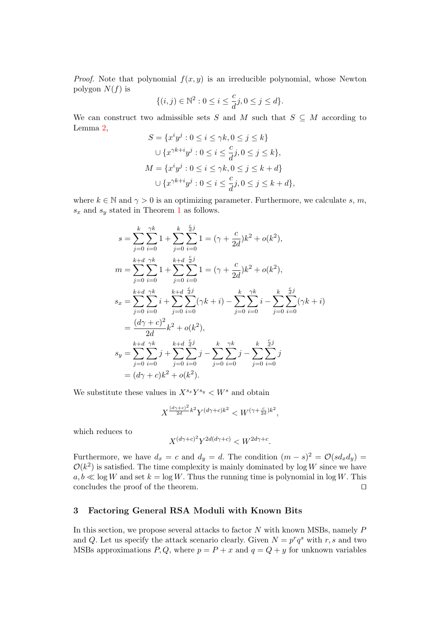*Proof.* Note that polynomial  $f(x, y)$  is an irreducible polynomial, whose Newton polygon  $N(f)$  is

$$
\{(i,j) \in \mathbb{N}^2 : 0 \le i \le \frac{c}{d}j, 0 \le j \le d\}.
$$

We can construct two admissible sets S and M such that  $S \subseteq M$  according to Lemma [2,](#page-6-1)

$$
S = \{x^i y^j : 0 \le i \le \gamma k, 0 \le j \le k\}
$$
  

$$
\cup \{x^{\gamma k + i} y^j : 0 \le i \le \frac{c}{d} j, 0 \le j \le k\},\
$$
  

$$
M = \{x^i y^j : 0 \le i \le \gamma k, 0 \le j \le k + d\}
$$
  

$$
\cup \{x^{\gamma k + i} y^j : 0 \le i \le \frac{c}{d} j, 0 \le j \le k + d\},\
$$

where  $k \in \mathbb{N}$  and  $\gamma > 0$  is an optimizing parameter. Furthermore, we calculate s, m,  $s_x$  and  $s_y$  stated in Theorem [1](#page-6-0) as follows.

$$
s = \sum_{j=0}^{k} \sum_{i=0}^{\gamma k} 1 + \sum_{j=0}^{k} \sum_{i=0}^{\frac{c}{d}j} 1 = (\gamma + \frac{c}{2d})k^2 + o(k^2),
$$
  
\n
$$
m = \sum_{j=0}^{k+d} \sum_{i=0}^{\gamma k} 1 + \sum_{j=0}^{k+d} \sum_{i=0}^{\frac{c}{d}j} 1 = (\gamma + \frac{c}{2d})k^2 + o(k^2),
$$
  
\n
$$
s_x = \sum_{j=0}^{k+d} \sum_{i=0}^{\gamma k} i + \sum_{j=0}^{k+d} \sum_{i=0}^{\frac{c}{d}j} (\gamma k + i) - \sum_{j=0}^{k} \sum_{i=0}^{\gamma k} i - \sum_{j=0}^{k} \sum_{i=0}^{\frac{c}{d}j} (\gamma k + i)
$$
  
\n
$$
= \frac{(d\gamma + c)^2}{2d} k^2 + o(k^2),
$$
  
\n
$$
s_y = \sum_{j=0}^{k+d} \sum_{i=0}^{\gamma k} j + \sum_{j=0}^{k+d} \sum_{i=0}^{\frac{c}{d}j} j - \sum_{j=0}^{k} \sum_{i=0}^{\gamma k} j - \sum_{j=0}^{k} \sum_{i=0}^{\frac{c}{d}j} j
$$
  
\n
$$
= (d\gamma + c)k^2 + o(k^2).
$$

We substitute these values in  $X^{s_x}Y^{s_y} < W^s$  and obtain

$$
X^{\frac{(d\gamma+c)^2}{2d}k^2}Y^{(d\gamma+c)k^2} < W^{(\gamma+\frac{c}{2d})k^2},
$$

which reduces to

$$
X^{(d\gamma+c)^2}Y^{2d(d\gamma+c)} < W^{2d\gamma+c}.
$$

Furthermore, we have  $d_x = c$  and  $d_y = d$ . The condition  $(m - s)^2 = \mathcal{O}(s d_x d_y)$  $\mathcal{O}(k^2)$  is satisfied. The time complexity is mainly dominated by log W since we have  $a, b \ll \log W$  and set  $k = \log W$ . Thus the running time is polynomial in  $\log W$ . This concludes the proof of the theorem.  $\Box$ 

#### <span id="page-8-0"></span>3 Factoring General RSA Moduli with Known Bits

In this section, we propose several attacks to factor  $N$  with known MSBs, namely  $P$ and Q. Let us specify the attack scenario clearly. Given  $N = p^r q^s$  with r, s and two MSBs approximations  $P, Q$ , where  $p = P + x$  and  $q = Q + y$  for unknown variables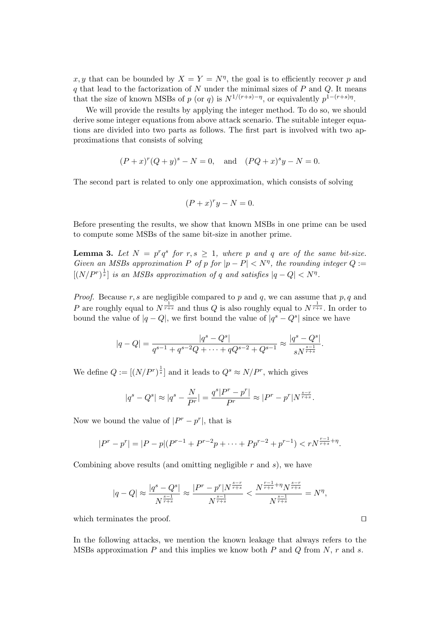x, y that can be bounded by  $X = Y = N^{\eta}$ , the goal is to efficiently recover p and  $q$  that lead to the factorization of  $N$  under the minimal sizes of  $P$  and  $Q$ . It means that the size of known MSBs of p (or q) is  $N^{1/(r+s)-\eta}$ , or equivalently  $p^{1-(r+s)\eta}$ .

We will provide the results by applying the integer method. To do so, we should derive some integer equations from above attack scenario. The suitable integer equations are divided into two parts as follows. The first part is involved with two approximations that consists of solving

$$
(P+x)^r(Q+y)^s - N = 0
$$
, and  $(PQ+x)^sy - N = 0$ .

The second part is related to only one approximation, which consists of solving

$$
(P+x)^{r}y - N = 0.
$$

Before presenting the results, we show that known MSBs in one prime can be used to compute some MSBs of the same bit-size in another prime.

**Lemma 3.** Let  $N = p^r q^s$  for  $r, s \ge 1$ , where p and q are of the same bit-size. Given an MSBs approximation P of p for  $|p - P| < N^{\eta}$ , the rounding integer Q :=  $[(N/P^r)^{\frac{1}{s}}]$  is an MSBs approximation of q and satisfies  $|q - Q| < N^{\eta}$ .

*Proof.* Because  $r, s$  are negligible compared to  $p$  and  $q$ , we can assume that  $p, q$  and P are roughly equal to  $N^{\frac{1}{r+s}}$  and thus Q is also roughly equal to  $N^{\frac{1}{r+s}}$ . In order to bound the value of  $|q - Q|$ , we first bound the value of  $|q^s - Q^s|$  since we have

$$
|q - Q| = \frac{|q^s - Q^s|}{q^{s-1} + q^{s-2}Q + \dots + qQ^{s-2} + Q^{s-1}} \approx \frac{|q^s - Q^s|}{sN^{\frac{s-1}{r+s}}}.
$$

We define  $Q := [(N/P^r)^{\frac{1}{s}}]$  and it leads to  $Q^s \approx N/P^r$ , which gives

$$
|q^s - Q^s| \approx |q^s - \frac{N}{Pr}| = \frac{q^s|P^r - p^r|}{P^r} \approx |P^r - p^r| N^{\frac{s-r}{r+s}}.
$$

Now we bound the value of  $|P^r - p^r|$ , that is

$$
|P^r - p^r| = |P - p|(P^{r-1} + P^{r-2}p + \dots + Pp^{r-2} + p^{r-1}) < rN^{\frac{r-1}{r+s} + \eta}.
$$

Combining above results (and omitting negligible  $r$  and  $s$ ), we have

$$
|q-Q|\approx \frac{|q^s-Q^s|}{N^{\frac{s-1}{r+s}}}\approx \frac{|P^r-p^r| N^{\frac{s-r}{r+s}}}{N^{\frac{s-1}{r+s}}} < \frac{N^{\frac{r-1}{r+s}+\eta} N^{\frac{s-r}{r+s}}}{N^{\frac{s-1}{r+s}}}=N^{\eta},
$$

which terminates the proof.  $\Box$ 

In the following attacks, we mention the known leakage that always refers to the MSBs approximation P and this implies we know both P and Q from N,  $r$  and  $s$ .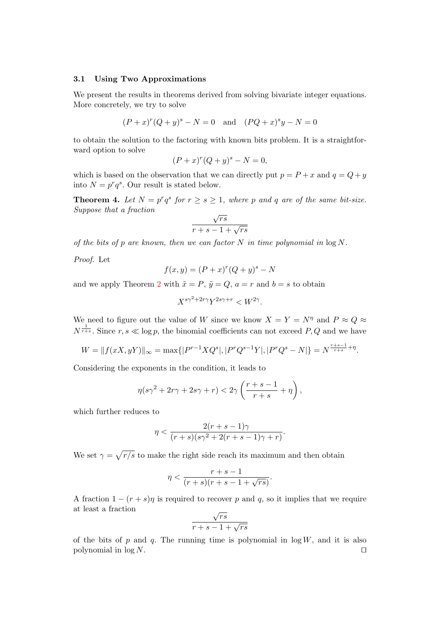#### <span id="page-10-1"></span>3.1 Using Two Approximations

We present the results in theorems derived from solving bivariate integer equations. More concretely, we try to solve

$$
(P+x)^r(Q+y)^s - N = 0
$$
 and  $(PQ+x)^sy - N = 0$ 

to obtain the solution to the factoring with known bits problem. It is a straightforward option to solve

$$
(P+x)^r (Q+y)^s - N = 0,
$$

which is based on the observation that we can directly put  $p = P + x$  and  $q = Q + y$ into  $N = p^r q^s$ . Our result is stated below.

**Theorem 4.** Let  $N = p^r q^s$  for  $r \geq s \geq 1$ , where p and q are of the same bit-size. Suppose that a fraction √

<span id="page-10-0"></span>
$$
\frac{\sqrt{rs}}{r+s-1+\sqrt{rs}}
$$

of the bits of p are known, then we can factor N in time polynomial in  $\log N$ .

Proof. Let

$$
f(x,y) = (P+x)^r (Q+y)^s - N
$$

and we apply Theorem [2](#page-6-2) with  $\tilde{x} = P$ ,  $\tilde{y} = Q$ ,  $a = r$  and  $b = s$  to obtain

$$
X^{s\gamma^2+2r\gamma}Y^{2s\gamma+r} < W^{2\gamma}.
$$

We need to figure out the value of W since we know  $X = Y = N^{\eta}$  and  $P \approx Q \approx$  $N^{\frac{1}{r+s}}$ . Since  $r, s \ll \log p$ , the binomial coefficients can not exceed P, Q and we have

$$
W = ||f(xX, yY)||_{\infty} = \max\{|P^{r-1}XQ^{s}|, |P^{r}Q^{s-1}Y|, |P^{r}Q^{s} - N|\} = N^{\frac{r+s-1}{r+s} + \eta}.
$$

Considering the exponents in the condition, it leads to

$$
\eta(s\gamma^2 + 2r\gamma + 2s\gamma + r) < 2\gamma\left(\frac{r+s-1}{r+s} + \eta\right),
$$

which further reduces to

$$
\eta < \frac{2(r+s-1)\gamma}{(r+s)(s\gamma^2 + 2(r+s-1)\gamma + r)}.
$$

We set  $\gamma = \sqrt{r/s}$  to make the right side reach its maximum and then obtain

$$
\eta < \frac{r+s-1}{(r+s)(r+s-1+\sqrt{rs})}.
$$

A fraction  $1 - (r + s)\eta$  is required to recover p and q, so it implies that we require at least a fraction √

$$
\frac{\sqrt{rs}}{r+s-1+\sqrt{rs}}
$$

of the bits of p and q. The running time is polynomial in  $log W$ , and it is also polynomial in  $\log N$ .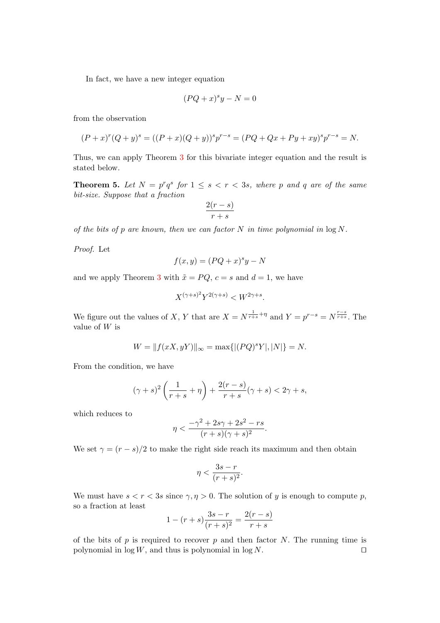In fact, we have a new integer equation

$$
(PQ + x)^s y - N = 0
$$

from the observation

$$
(P+x)^{r}(Q+y)^{s} = ((P+x)(Q+y))^{s}p^{r-s} = (PQ+Qx+Py+xy)^{s}p^{r-s} = N.
$$

<span id="page-11-0"></span>Thus, we can apply Theorem [3](#page-7-0) for this bivariate integer equation and the result is stated below.

**Theorem 5.** Let  $N = p^r q^s$  for  $1 \leq s < r < 3s$ , where p and q are of the same bit-size. Suppose that a fraction

$$
\frac{2(r-s)}{r+s}
$$

of the bits of p are known, then we can factor  $N$  in time polynomial in  $\log N$ .

Proof. Let

$$
f(x, y) = (PQ + x)^s y - N
$$

and we apply Theorem [3](#page-7-0) with  $\tilde{x} = PQ$ ,  $c = s$  and  $d = 1$ , we have

$$
X^{(\gamma+s)^2}Y^{2(\gamma+s)} < W^{2\gamma+s}.
$$

We figure out the values of X, Y that are  $X = N^{\frac{1}{r+s} + \eta}$  and  $Y = p^{r-s} = N^{\frac{r-s}{r+s}}$ . The value of  $W$  is

$$
W = ||f(xX, yY)||_{\infty} = \max\{|(PQ)^sY|, |N|\} = N.
$$

From the condition, we have

$$
(\gamma + s)^2 \left(\frac{1}{r+s} + \eta\right) + \frac{2(r-s)}{r+s}(\gamma + s) < 2\gamma + s,
$$

which reduces to

$$
\eta < \frac{-\gamma^2 + 2s\gamma + 2s^2 - rs}{(r+s)(\gamma + s)^2}.
$$

We set  $\gamma = (r - s)/2$  to make the right side reach its maximum and then obtain

$$
\eta < \frac{3s - r}{(r + s)^2}.
$$

We must have  $s < r < 3s$  since  $\gamma, \eta > 0$ . The solution of y is enough to compute p, so a fraction at least

$$
1 - (r + s) \frac{3s - r}{(r + s)^2} = \frac{2(r - s)}{r + s}
$$

of the bits of p is required to recover p and then factor N. The running time is polynomial in  $\log W$ , and thus is polynomial in  $\log N$ .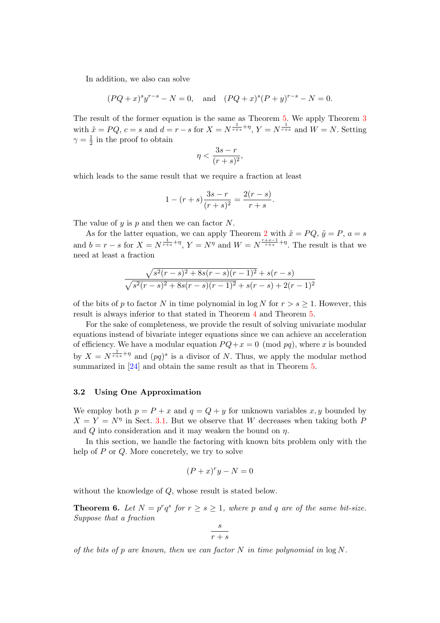In addition, we also can solve

$$
(PQ+x)^{s}y^{r-s} - N = 0
$$
, and  $(PQ+x)^{s}(P+y)^{r-s} - N = 0$ .

The result of the former equation is the same as Theorem [5.](#page-11-0) We apply Theorem [3](#page-7-0) with  $\tilde{x} = PQ$ ,  $c = s$  and  $d = r - s$  for  $X = N^{\frac{1}{r+s} + \eta}$ ,  $Y = N^{\frac{1}{r+s}}$  and  $W = N$ . Setting  $\gamma = \frac{1}{2}$  $\frac{1}{2}$  in the proof to obtain

$$
y < \frac{3s - r}{(r + s)^2},
$$

which leads to the same result that we require a fraction at least

 $\overline{1}$ 

$$
1 - (r + s) \frac{3s - r}{(r + s)^2} = \frac{2(r - s)}{r + s}.
$$

The value of  $y$  is  $p$  and then we can factor  $N$ .

As for the latter equation, we can apply Theorem [2](#page-6-2) with  $\tilde{x} = PQ$ ,  $\tilde{y} = P$ ,  $a = s$ and  $b = r - s$  for  $X = N^{\frac{1}{r+s} + \eta}$ ,  $Y = N^{\eta}$  and  $W = N^{\frac{r+s-1}{r+s} + \eta}$ . The result is that we need at least a fraction

$$
\frac{\sqrt{s^2(r-s)^2 + 8s(r-s)(r-1)^2} + s(r-s)}{\sqrt{s^2(r-s)^2 + 8s(r-s)(r-1)^2} + s(r-s) + 2(r-1)^2}
$$

of the bits of p to factor N in time polynomial in  $\log N$  for  $r > s > 1$ . However, this result is always inferior to that stated in Theorem [4](#page-10-0) and Theorem [5.](#page-11-0)

For the sake of completeness, we provide the result of solving univariate modular equations instead of bivariate integer equations since we can achieve an acceleration of efficiency. We have a modular equation  $PQ + x = 0 \pmod{pq}$ , where x is bounded by  $X = N^{\frac{1}{r+s}+\eta}$  and  $(pq)^s$  is a divisor of N. Thus, we apply the modular method summarized in [\[24\]](#page-17-20) and obtain the same result as that in Theorem [5.](#page-11-0)

### 3.2 Using One Approximation

We employ both  $p = P + x$  and  $q = Q + y$  for unknown variables x, y bounded by  $X = Y = N^{\eta}$  in Sect. [3.1.](#page-10-1) But we observe that W decreases when taking both F and  $Q$  into consideration and it may weaken the bound on  $\eta$ .

In this section, we handle the factoring with known bits problem only with the help of  $P$  or  $Q$ . More concretely, we try to solve

$$
(P+x)^{r}y - N = 0
$$

without the knowledge of Q, whose result is stated below.

**Theorem 6.** Let  $N = p^r q^s$  for  $r \geq s \geq 1$ , where p and q are of the same bit-size. Suppose that a fraction

<span id="page-12-0"></span>
$$
\frac{s}{r+s}
$$

of the bits of p are known, then we can factor  $N$  in time polynomial in  $\log N$ .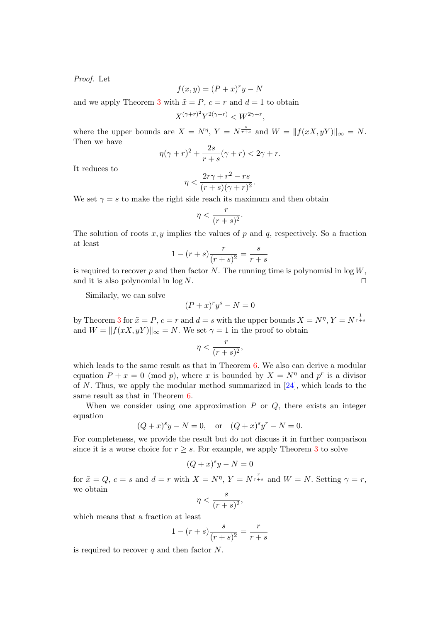Proof. Let

$$
f(x, y) = (P + x)^{r}y - N
$$

and we apply Theorem [3](#page-7-0) with  $\tilde{x} = P$ ,  $c = r$  and  $d = 1$  to obtain

$$
X^{(\gamma+r)^2}Y^{2(\gamma+r)} < W^{2\gamma+r},
$$

where the upper bounds are  $X = N^{\eta}$ ,  $Y = N^{\frac{s}{r+s}}$  and  $W = ||f(xX, yY)||_{\infty} = N$ . Then we have

$$
\eta(\gamma + r)^2 + \frac{2s}{r+s}(\gamma + r) < 2\gamma + r.
$$

It reduces to

$$
\eta < \frac{2r\gamma + r^2 - rs}{(r+s)(\gamma + r)^2}.
$$

We set  $\gamma = s$  to make the right side reach its maximum and then obtain

$$
\eta < \frac{r}{(r+s)^2}.
$$

The solution of roots  $x, y$  implies the values of p and q, respectively. So a fraction at least

$$
1 - (r + s) \frac{r}{(r + s)^2} = \frac{s}{r + s}
$$

is required to recover p and then factor N. The running time is polynomial in  $\log W$ , and it is also polynomial in  $\log N$ .

Similarly, we can solve

$$
(P+x)^r y^s - N = 0
$$

by Theorem [3](#page-7-0) for  $\tilde{x} = P$ ,  $c = r$  and  $d = s$  with the upper bounds  $X = N^{\eta}$ ,  $Y = N^{\frac{1}{r+s}}$ and  $W = ||f(xX, yY)||_{\infty} = N$ . We set  $\gamma = 1$  in the proof to obtain

$$
\eta < \frac{r}{(r+s)^2},
$$

which leads to the same result as that in Theorem [6.](#page-12-0) We also can derive a modular equation  $P + x = 0 \pmod{p}$ , where x is bounded by  $X = N^{\eta}$  and  $p^r$  is a divisor of N. Thus, we apply the modular method summarized in [\[24\]](#page-17-20), which leads to the same result as that in Theorem [6.](#page-12-0)

When we consider using one approximation  $P$  or  $Q$ , there exists an integer equation

$$
(Q+x)^{s}y - N = 0
$$
, or  $(Q+x)^{s}y^{r} - N = 0$ .

For completeness, we provide the result but do not discuss it in further comparison since it is a worse choice for  $r \geq s$ . For example, we apply Theorem [3](#page-7-0) to solve

$$
(Q+x)^s y - N = 0
$$

for  $\tilde{x} = Q$ ,  $c = s$  and  $d = r$  with  $X = N^{\eta}$ ,  $Y = N^{\frac{r}{r+s}}$  and  $W = N$ . Setting  $\gamma = r$ , we obtain

$$
\eta < \frac{s}{(r+s)^2},
$$

which means that a fraction at least

$$
1 - (r+s)\frac{s}{(r+s)^2} = \frac{r}{r+s}
$$

is required to recover q and then factor  $N$ .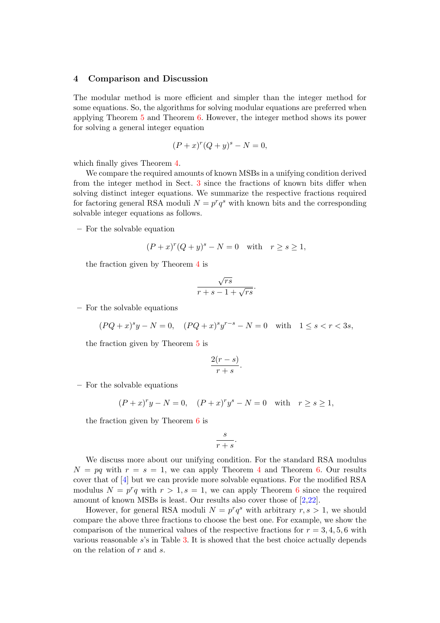#### <span id="page-14-0"></span>4 Comparison and Discussion

The modular method is more efficient and simpler than the integer method for some equations. So, the algorithms for solving modular equations are preferred when applying Theorem [5](#page-11-0) and Theorem [6.](#page-12-0) However, the integer method shows its power for solving a general integer equation

$$
(P+x)^r (Q+y)^s - N = 0,
$$

which finally gives Theorem [4.](#page-10-0)

We compare the required amounts of known MSBs in a unifying condition derived from the integer method in Sect. [3](#page-8-0) since the fractions of known bits differ when solving distinct integer equations. We summarize the respective fractions required for factoring general RSA moduli  $N = p^r q^s$  with known bits and the corresponding solvable integer equations as follows.

– For the solvable equation

$$
(P+x)^r (Q+y)^s - N = 0 \quad \text{with} \quad r \ge s \ge 1,
$$

the fraction given by Theorem [4](#page-10-0) is

$$
\frac{\sqrt{rs}}{r+s-1+\sqrt{rs}}.
$$

– For the solvable equations

$$
(PQ+x)^{s}y - N = 0, \quad (PQ+x)^{s}y^{r-s} - N = 0 \quad \text{with} \quad 1 \le s < r < 3s,
$$

the fraction given by Theorem [5](#page-11-0) is

$$
\frac{2(r-s)}{r+s}.
$$

– For the solvable equations

$$
(P+x)^{r}y - N = 0
$$
,  $(P+x)^{r}y^{s} - N = 0$  with  $r \ge s \ge 1$ ,

the fraction given by Theorem [6](#page-12-0) is

$$
\frac{s}{r+s}.
$$

We discuss more about our unifying condition. For the standard RSA modulus  $N = pq$  with  $r = s = 1$ , we can apply Theorem [4](#page-10-0) and Theorem [6.](#page-12-0) Our results cover that of [\[4\]](#page-16-1) but we can provide more solvable equations. For the modified RSA modulus  $N = p^r q$  with  $r > 1$ ,  $s = 1$ , we can apply Theorem [6](#page-12-0) since the required amount of known MSBs is least. Our results also cover those of [\[2,](#page-16-3)[22\]](#page-17-13).

However, for general RSA moduli  $N = p^r q^s$  with arbitrary  $r, s > 1$ , we should compare the above three fractions to choose the best one. For example, we show the comparison of the numerical values of the respective fractions for  $r = 3, 4, 5, 6$  with various reasonable s's in Table [3.](#page-15-0) It is showed that the best choice actually depends on the relation of  $r$  and  $s$ .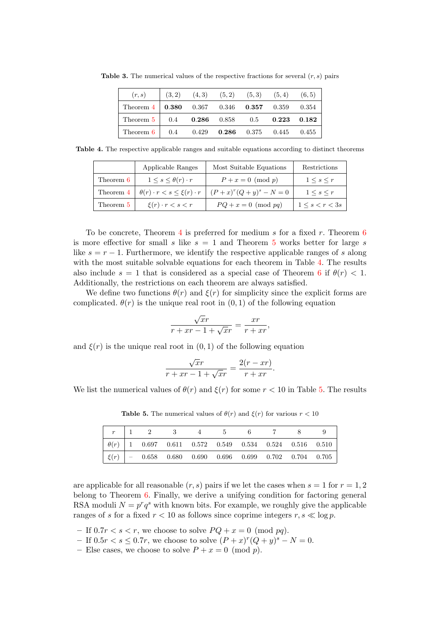<span id="page-15-0"></span>

| (r, s)                                                                 | (3, 2) |  | $(4,3)$ $(5,2)$ $(5,3)$ $(5,4)$ $(6,5)$ |             |
|------------------------------------------------------------------------|--------|--|-----------------------------------------|-------------|
| Theorem $4 \mid 0.380 \quad 0.367 \quad 0.346 \quad 0.357 \quad 0.359$ |        |  |                                         | $\,0.354\,$ |
| Theorem $5 \mid 0.4$ 0.286 0.858 0.5 0.223                             |        |  |                                         | 0.182       |
| Theorem $6 \mid 0.4 \mid 0.429$                                        |        |  | <b>0.286</b> 0.375 0.445 0.455          |             |

**Table 3.** The numerical values of the respective fractions for several  $(r, s)$  pairs

Table 4. The respective applicable ranges and suitable equations according to distinct theorems

<span id="page-15-1"></span>

|           | Applicable Ranges                           | Most Suitable Equations  | Restrictions              |
|-----------|---------------------------------------------|--------------------------|---------------------------|
| Theorem 6 | $1 \leq s \leq \theta(r) \cdot r$           | $P+x=0 \pmod{p}$         | $1 \leq s \leq r$         |
| Theorem 4 | $\theta(r) \cdot r < s \leq \xi(r) \cdot r$ | $(P+x)^r(Q+y)^s - N = 0$ | $1 \leq s \leq r$         |
| Theorem 5 | $\xi(r) \cdot r < s < r$                    | $PQ + x = 0 \pmod{pq}$   | $1 \leq s \leq r \leq 3s$ |

To be concrete, Theorem [4](#page-10-0) is preferred for medium s for a fixed r. Theorem [6](#page-12-0) is more effective for small s like  $s = 1$  and Theorem [5](#page-11-0) works better for large s like  $s = r - 1$ . Furthermore, we identify the respective applicable ranges of s along with the most suitable solvable equations for each theorem in Table [4.](#page-15-1) The results also include  $s = 1$  that is considered as a special case of Theorem [6](#page-12-0) if  $\theta(r) < 1$ . Additionally, the restrictions on each theorem are always satisfied.

We define two functions  $\theta(r)$  and  $\xi(r)$  for simplicity since the explicit forms are complicated.  $\theta(r)$  is the unique real root in  $(0, 1)$  of the following equation

$$
\frac{\sqrt{x}r}{r+xr-1+\sqrt{x}r} = \frac{xr}{r+xr},
$$

and  $\xi(r)$  is the unique real root in  $(0, 1)$  of the following equation

$$
\frac{\sqrt{x}r}{r+xr-1+\sqrt{x}r} = \frac{2(r-xr)}{r+xr}.
$$

We list the numerical values of  $\theta(r)$  and  $\xi(r)$  for some  $r < 10$  in Table [5.](#page-15-2) The results

<span id="page-15-2"></span>**Table 5.** The numerical values of  $\theta(r)$  and  $\xi(r)$  for various  $r < 10$ 

|  |  |  | $\mid \theta(r) \mid 1 \quad 0.697 \quad 0.611 \quad 0.572 \quad 0.549 \quad 0.534 \quad 0.524 \quad 0.516 \quad 0.510$ |  |  |
|--|--|--|-------------------------------------------------------------------------------------------------------------------------|--|--|
|  |  |  | $\left  \xi(r) \right  = 0.658$ 0.680 0.690 0.696 0.699 0.702 0.704 0.705                                               |  |  |

are applicable for all reasonable  $(r, s)$  pairs if we let the cases when  $s = 1$  for  $r = 1, 2$ belong to Theorem [6.](#page-12-0) Finally, we derive a unifying condition for factoring general RSA moduli  $N = p^r q^s$  with known bits. For example, we roughly give the applicable ranges of s for a fixed  $r < 10$  as follows since coprime integers  $r, s \ll \log p$ .

- If  $0.7r < s < r$ , we choose to solve  $PQ + x = 0 \pmod{pq}$ .
- − If  $0.5r < s \le 0.7r$ , we choose to solve  $(P + x)^r (Q + y)^s N = 0$ .
- Else cases, we choose to solve  $P + x = 0 \pmod{p}$ .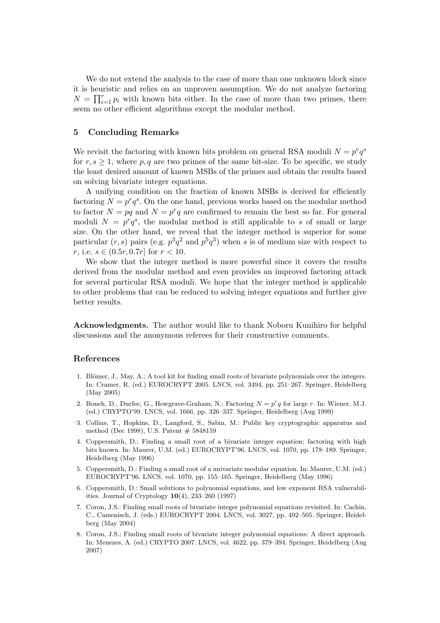We do not extend the analysis to the case of more than one unknown block since it is heuristic and relies on an unproven assumption. We do not analyze factoring  $N = \prod_{i=1}^{r} p_i$  with known bits either. In the case of more than two primes, there seem no other efficient algorithms except the modular method.

### <span id="page-16-5"></span>5 Concluding Remarks

We revisit the factoring with known bits problem on general RSA moduli  $N = p^r q^s$ for  $r, s \geq 1$ , where p, q are two primes of the same bit-size. To be specific, we study the least desired amount of known MSBs of the primes and obtain the results based on solving bivariate integer equations.

A unifying condition on the fraction of known MSBs is derived for efficiently factoring  $N = p^r q^s$ . On the one hand, previous works based on the modular method to factor  $N = pq$  and  $N = p<sup>r</sup>q$  are confirmed to remain the best so far. For general moduli  $N = p^r q^s$ , the modular method is still applicable to s of small or large size. On the other hand, we reveal that the integer method is superior for some particular  $(r, s)$  pairs (e.g.  $p^3q^2$  and  $p^5q^3$ ) when s is of medium size with respect to r, i.e.  $s \in (0.5r, 0.7r]$  for  $r < 10$ .

We show that the integer method is more powerful since it covers the results derived from the modular method and even provides an improved factoring attack for several particular RSA moduli. We hope that the integer method is applicable to other problems that can be reduced to solving integer equations and further give better results.

Acknowledgments. The author would like to thank Noboru Kunihiro for helpful discussions and the anonymous referees for their constructive comments.

#### References

- <span id="page-16-6"></span>1. Blömer, J., May, A.: A tool kit for finding small roots of bivariate polynomials over the integers. In: Cramer, R. (ed.) EUROCRYPT 2005. LNCS, vol. 3494, pp. 251–267. Springer, Heidelberg (May 2005)
- <span id="page-16-3"></span>2. Boneh, D., Durfee, G., Howgrave-Graham, N.: Factoring  $N = p^r q$  for large r. In: Wiener, M.J. (ed.) CRYPTO'99. LNCS, vol. 1666, pp. 326–337. Springer, Heidelberg (Aug 1999)
- <span id="page-16-4"></span>3. Collins, T., Hopkins, D., Langford, S., Sabin, M.: Public key cryptographic apparatus and method (Dec 1998), U.S. Patent # 5848159
- <span id="page-16-1"></span>4. Coppersmith, D.: Finding a small root of a bivariate integer equation; factoring with high bits known. In: Maurer, U.M. (ed.) EUROCRYPT'96. LNCS, vol. 1070, pp. 178–189. Springer, Heidelberg (May 1996)
- <span id="page-16-2"></span>5. Coppersmith, D.: Finding a small root of a univariate modular equation. In: Maurer, U.M. (ed.) EUROCRYPT'96. LNCS, vol. 1070, pp. 155–165. Springer, Heidelberg (May 1996)
- <span id="page-16-0"></span>6. Coppersmith, D.: Small solutions to polynomial equations, and low exponent RSA vulnerabilities. Journal of Cryptology  $10(4)$ , 233–260 (1997)
- <span id="page-16-7"></span>7. Coron, J.S.: Finding small roots of bivariate integer polynomial equations revisited. In: Cachin, C., Camenisch, J. (eds.) EUROCRYPT 2004. LNCS, vol. 3027, pp. 492–505. Springer, Heidelberg (May 2004)
- <span id="page-16-8"></span>8. Coron, J.S.: Finding small roots of bivariate integer polynomial equations: A direct approach. In: Menezes, A. (ed.) CRYPTO 2007. LNCS, vol. 4622, pp. 379–394. Springer, Heidelberg (Aug 2007)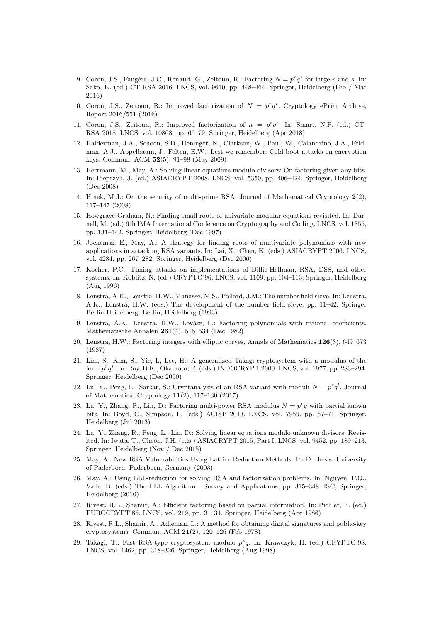- <span id="page-17-10"></span>9. Coron, J.S., Faugère, J.C., Renault, G., Zeitoun, R.: Factoring  $N = p^r q^s$  for large r and s. In: Sako, K. (ed.) CT-RSA 2016. LNCS, vol. 9610, pp. 448–464. Springer, Heidelberg (Feb / Mar 2016)
- <span id="page-17-11"></span>10. Coron, J.S., Zeitoun, R.: Improved factorization of  $N = p^r q^s$ . Cryptology ePrint Archive, Report 2016/551 (2016)
- <span id="page-17-12"></span>11. Coron, J.S., Zeitoun, R.: Improved factorization of  $n = p^r q^s$ . In: Smart, N.P. (ed.) CT-RSA 2018. LNCS, vol. 10808, pp. 65–79. Springer, Heidelberg (Apr 2018)
- <span id="page-17-2"></span>12. Halderman, J.A., Schoen, S.D., Heninger, N., Clarkson, W., Paul, W., Calandrino, J.A., Feldman, A.J., Appelbaum, J., Felten, E.W.: Lest we remember: Cold-boot attacks on encryption keys. Commun. ACM 52(5), 91–98 (May 2009)
- <span id="page-17-6"></span>13. Herrmann, M., May, A.: Solving linear equations modulo divisors: On factoring given any bits. In: Pieprzyk, J. (ed.) ASIACRYPT 2008. LNCS, vol. 5350, pp. 406–424. Springer, Heidelberg (Dec 2008)
- <span id="page-17-15"></span>14. Hinek, M.J.: On the security of multi-prime RSA. Journal of Mathematical Cryptology 2(2), 117–147 (2008)
- <span id="page-17-16"></span>15. Howgrave-Graham, N.: Finding small roots of univariate modular equations revisited. In: Darnell, M. (ed.) 6th IMA International Conference on Cryptography and Coding. LNCS, vol. 1355, pp. 131–142. Springer, Heidelberg (Dec 1997)
- <span id="page-17-17"></span>16. Jochemsz, E., May, A.: A strategy for finding roots of multivariate polynomials with new applications in attacking RSA variants. In: Lai, X., Chen, K. (eds.) ASIACRYPT 2006. LNCS, vol. 4284, pp. 267–282. Springer, Heidelberg (Dec 2006)
- <span id="page-17-3"></span>17. Kocher, P.C.: Timing attacks on implementations of Diffie-Hellman, RSA, DSS, and other systems. In: Koblitz, N. (ed.) CRYPTO'96. LNCS, vol. 1109, pp. 104–113. Springer, Heidelberg (Aug 1996)
- <span id="page-17-1"></span>18. Lenstra, A.K., Lenstra, H.W., Manasse, M.S., Pollard, J.M.: The number field sieve. In: Lenstra, A.K., Lenstra, H.W. (eds.) The development of the number field sieve. pp. 11–42. Springer Berlin Heidelberg, Berlin, Heidelberg (1993)
- <span id="page-17-5"></span>19. Lenstra, A.K., Lenstra, H.W., Lovász, L.: Factoring polynomials with rational coefficients. Mathematische Annalen 261(4), 515–534 (Dec 1982)
- <span id="page-17-14"></span>20. Lenstra, H.W.: Factoring integers with elliptic curves. Annals of Mathematics 126(3), 649–673 (1987)
- <span id="page-17-9"></span>21. Lim, S., Kim, S., Yie, I., Lee, H.: A generalized Takagi-cryptosystem with a modulus of the form  $p^r q^s$ . In: Roy, B.K., Okamoto, E. (eds.) INDOCRYPT 2000. LNCS, vol. 1977, pp. 283–294. Springer, Heidelberg (Dec 2000)
- <span id="page-17-13"></span>22. Lu, Y., Peng, L., Sarkar, S.: Cryptanalysis of an RSA variant with moduli  $N = p^r q^l$ . Journal of Mathematical Cryptology 11(2), 117–130 (2017)
- <span id="page-17-8"></span>23. Lu, Y., Zhang, R., Lin, D.: Factoring multi-power RSA modulus  $N = p^r q$  with partial known bits. In: Boyd, C., Simpson, L. (eds.) ACISP 2013. LNCS, vol. 7959, pp. 57–71. Springer, Heidelberg (Jul 2013)
- <span id="page-17-20"></span>24. Lu, Y., Zhang, R., Peng, L., Lin, D.: Solving linear equations modulo unknown divisors: Revisited. In: Iwata, T., Cheon, J.H. (eds.) ASIACRYPT 2015, Part I. LNCS, vol. 9452, pp. 189–213. Springer, Heidelberg (Nov / Dec 2015)
- <span id="page-17-18"></span>25. May, A.: New RSA Vulnerabilities Using Lattice Reduction Methods. Ph.D. thesis, University of Paderborn, Paderborn, Germany (2003)
- <span id="page-17-19"></span>26. May, A.: Using LLL-reduction for solving RSA and factorization problems. In: Nguyen, P.Q., Valle, B. (eds.) The LLL Algorithm - Survey and Applications, pp. 315–348. ISC, Springer, Heidelberg (2010)
- <span id="page-17-4"></span>27. Rivest, R.L., Shamir, A.: Efficient factoring based on partial information. In: Pichler, F. (ed.) EUROCRYPT'85. LNCS, vol. 219, pp. 31–34. Springer, Heidelberg (Apr 1986)
- <span id="page-17-0"></span>28. Rivest, R.L., Shamir, A., Adleman, L.: A method for obtaining digital signatures and public-key cryptosystems. Commun. ACM 21(2), 120–126 (Feb 1978)
- <span id="page-17-7"></span>29. Takagi, T.: Fast RSA-type cryptosystem modulo  $p^k q$ . In: Krawczyk, H. (ed.) CRYPTO'98. LNCS, vol. 1462, pp. 318–326. Springer, Heidelberg (Aug 1998)